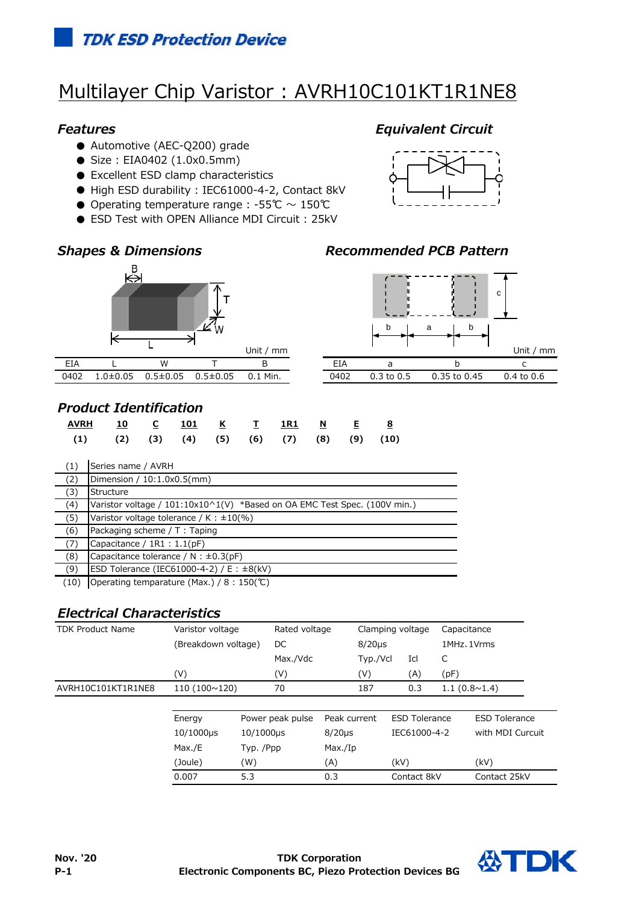# Multilayer Chip Varistor: AVRH10C101KT1R1NE8

### *Features Equivalent Circuit*

- Automotive (AEC-Q200) grade
- Size: EIA0402 (1.0x0.5mm)
- Excellent ESD clamp characteristics
- High ESD durability : IEC61000-4-2, Contact 8kV
- Operating temperature range : -55℃  $\sim$  150℃
- ESD Test with OPEN Alliance MDI Circuit : 25kV



## *Shapes & Dimensions Recommended PCB Pattern*



## *Product Identification*

| <u>AVRH 10 C 101 K T 1R1 N E 8</u>                           |  |  |  |  |  |
|--------------------------------------------------------------|--|--|--|--|--|
| $(1)$ $(2)$ $(3)$ $(4)$ $(5)$ $(6)$ $(7)$ $(8)$ $(9)$ $(10)$ |  |  |  |  |  |

| (1) | Series name / AVRH                                                        |
|-----|---------------------------------------------------------------------------|
| (2) | Dimension / $10:1.0x0.5$ (mm)                                             |
| (3) | Structure                                                                 |
| (4) | Varistor voltage / 101:10x10^1(V) *Based on OA EMC Test Spec. (100V min.) |
| (5) | Varistor voltage tolerance / K : $\pm 10$ %)                              |
| (6) | Packaging scheme / T: Taping                                              |
| (7) | Capacitance / $1R1 : 1.1(pF)$                                             |
| (8) | Capacitance tolerance / N : $\pm$ 0.3(pF)                                 |
| (9) | ESD Tolerance (IEC61000-4-2) / E : $\pm 8$ (kV)                           |

(10) Operating temparature (Max.) / 8 : 150(℃)

## *Electrical Characteristics*

| <b>TDK Product Name</b> | Varistor voltage<br>(Breakdown voltage) |           | Rated voltage<br>DC |              | Clamping voltage<br>$8/20\mu s$ |                      | Capacitance<br>1MHz, 1Vrms |                       |  |
|-------------------------|-----------------------------------------|-----------|---------------------|--------------|---------------------------------|----------------------|----------------------------|-----------------------|--|
|                         |                                         |           |                     |              |                                 |                      |                            |                       |  |
|                         |                                         |           | Max./Vdc            |              | Typ./Vcl                        | Icl                  | C                          |                       |  |
|                         | (V)                                     |           | (V)                 |              | (V)                             | (A)                  | (pF)                       |                       |  |
| AVRH10C101KT1R1NE8      | 110(100~120)                            |           | 70                  |              | 187                             | 0.3                  |                            | $1.1(0.8 \times 1.4)$ |  |
|                         |                                         |           |                     |              |                                 |                      |                            |                       |  |
|                         | Energy                                  |           | Power peak pulse    | Peak current |                                 | <b>ESD Tolerance</b> |                            | <b>ESD Tolerance</b>  |  |
|                         | $10/1000 \mu s$                         | 10/1000µs |                     | $8/20\mu s$  |                                 | IEC61000-4-2         |                            | with MDI Curcuit      |  |
|                         | Max./E                                  | Typ. /Ppp |                     | Max./Ip      |                                 |                      |                            |                       |  |
|                         | (Joule)                                 | (W)       |                     | (A)          |                                 | (kV)                 |                            | (kV)                  |  |
|                         | 0.007                                   | 5.3       |                     | 0.3          |                                 | Contact 8kV          |                            | Contact 25kV          |  |



c

|      |                       |                  | _                     |
|------|-----------------------|------------------|-----------------------|
|      |                       |                  |                       |
| በ4በ2 | $0.3 \text{ to } 0.5$ | $0.35$ to $0.45$ | $0.4 \text{ to } 0.6$ |
|      |                       |                  |                       |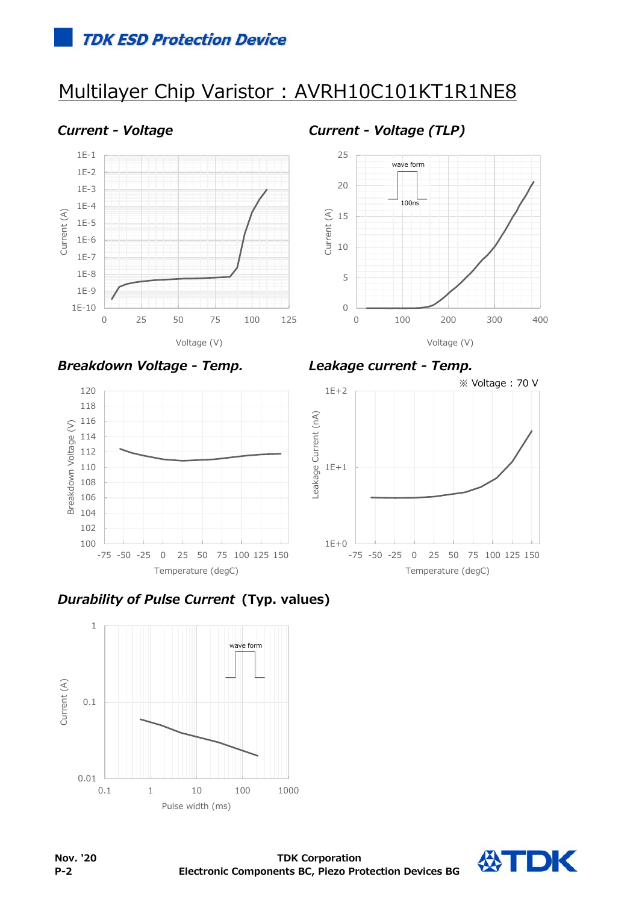## Multilayer Chip Varistor : AVRH10C101KT1R1NE8



*Current - Voltage Current - Voltage (TLP)*



*Breakdown Voltage - Temp. Leakage current - Temp.*









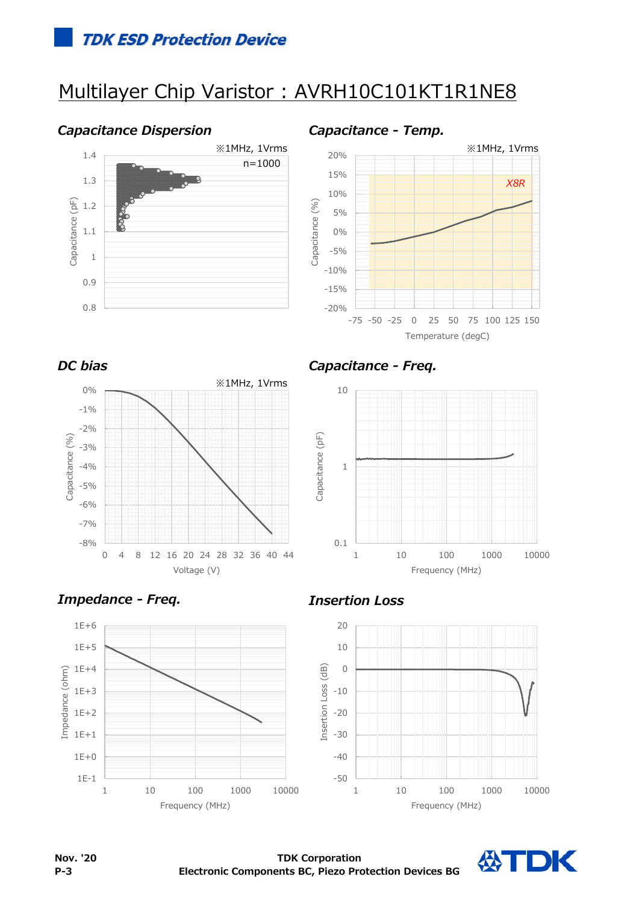# Multilayer Chip Varistor : AVRH10C101KT1R1NE8

### *Capacitance Dispersion Capacitance - Temp.*







*DC bias Capacitance - Freq.*









公TDK

**Nov. '20 P-3**

**TDK Corporation Electronic Components BC, Piezo Protection Devices BG**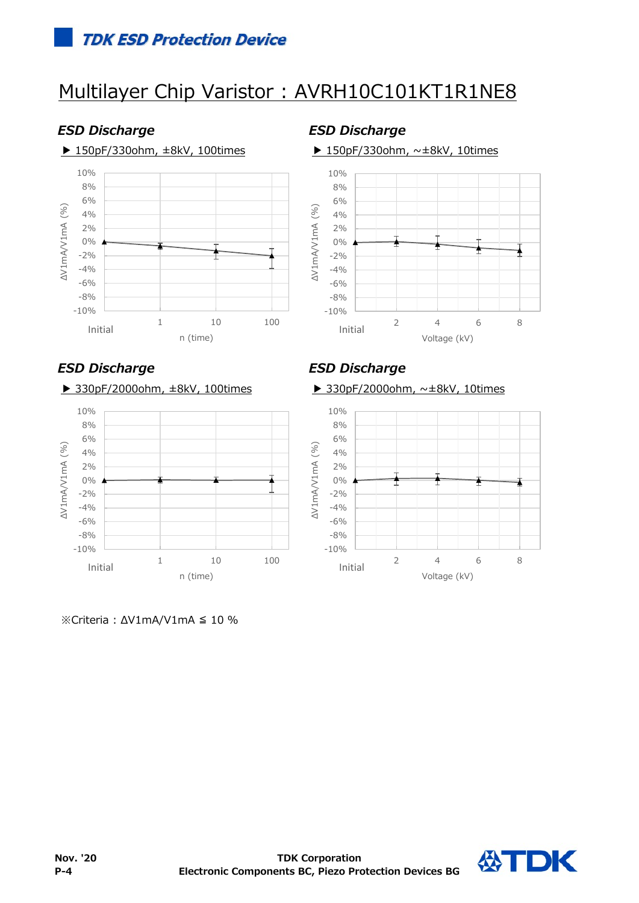# Multilayer Chip Varistor : AVRH10C101KT1R1NE8

## *ESD Discharge ESD Discharge*

### ▶ 150pF/330ohm,  $\pm$ 8kV, 100times ▶ 150pF/330ohm,  $\sim$  $\pm$ 8kV, 10times



### 10% 8% 6% AV1mA/V1mA (%) ΔV1mA/V1mA (%) 4% 2% 0%

## 4% 6% 8%





## *ESD Discharge ESD Discharge*

### ▶ 330pF/2000ohm, ±8kV, 100times ▶ 330pF/2000ohm, ~±8kV, 10times



※Criteria : ΔV1mA/V1mA ≦ 10 %